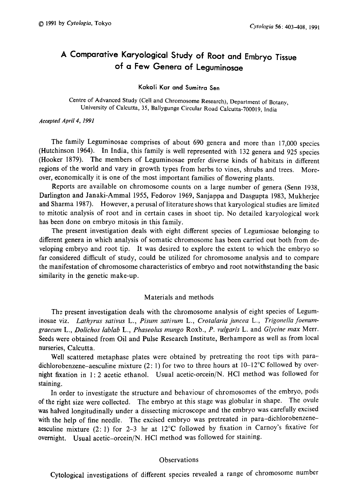# A Comparative Karyological Study of Root and Embryo Tissue of a Few Genera of Leguminosae

## Kakoli Kar and Sumitra Sen

Centre of Advanced Study (Cell and Chromosome Research) , Department of Botany, University of Calcutta, 35, Ballygunge Circular Road Calcutta-700019 , India

#### Accepted April 4, 1991

The family Leguminosae comprises of about 690 genera and more than 17,000 species (Hutchinson 1964). In India, this family is well represented with 132 genera and 925 species (Hooker 1879). The members of Leguminosae prefer diverse kinds of habitats in different regions of the world and vary in growth types from herbs to vines, shrubs and trees. More over, economically it is one of the most important families of flowering plants.

Reports are available on chromosome counts on a large number of genera (Senn 1938, Darlington and Janaki-Ammal 1955, Fedorov 1969, Sanjappa and Dasgupta 1983, Mukherjee and Sharma 1987). However, a perusal of literature shows that karyological studies are limited to mitotic analysis of root and in certain cases in shoot tip. No detailed karyological work has been done on embryo mitosis in this family.

The present investigation deals with eight different species of Legumiosae belonging to different genera in which analysis of somatic chromosome has been carried out both from de veloping embryo and root tip. It was desired to explore the extent to which the embryo so far considered difficult of study, could be utilized for chromosome analysis and to compare the manifestation of chromosome characteristics of embryo and root notwithstanding the basic similarity in the genetic make-up.

#### Materials and methods

The present investigation deals with the chromosome analysis of eight species of Legum inosae viz. Lathyrus sativus L., Pisum sativum L., Crotalaria juncea L., Trigonella foenum graecum L., Dolichos lablab L., Phaseolus mungo Roxb., P. vulgaris L. and Glycine max Merr. Seeds were obtained from Oil and Pulse Research Institute, Berhampore as well as from local nurseries, Calcutta.

Well scattered metaphase plates were obtained by pretreating the root tips with para dichlorobenzene-aesculine mixture (2:1) for two to three hours at  $10-12^{\circ}$ C followed by overnight fixation in 1:2 acetic ethanol. Usual acetic-orcein/N. HCl method was followed for staining.

In order to investigate the structure and behaviour of chromosomes of the embryo, pods of the right size were collected. The embryo at this stage was globular in shape. The ovule was halved longitudinally under a dissecting microscope and the embryo was carefully excised with the help of fine needle. The excised embryo was pretreated in para-dichlorobenzene aesculine mixture (2:1) for 2-3 hr at  $12^{\circ}$ C followed by fixation in Carnoy's fixative for overnight. Usual acetic-orcein/N. HCl method was followed for staining.

#### Observations

Cytological investigations of different species revealed a range of chromosome number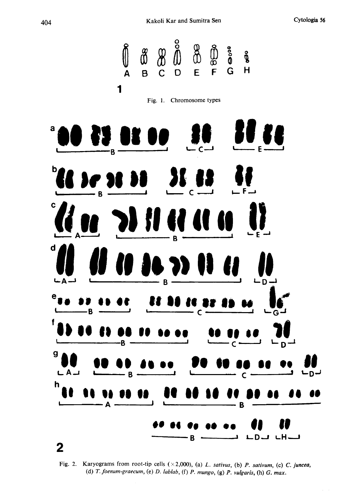

Fig. 2. Karyograms from root-tip cells  $(\times 2,000)$ , (a) L, sativus, (b) P, sativum, (c) C, junce (d) T. foenum-graecum, (e) D. lablab,  $(f)$  P. mungo,  $(g)$  P. vulgaris,  $(h)$  G. max.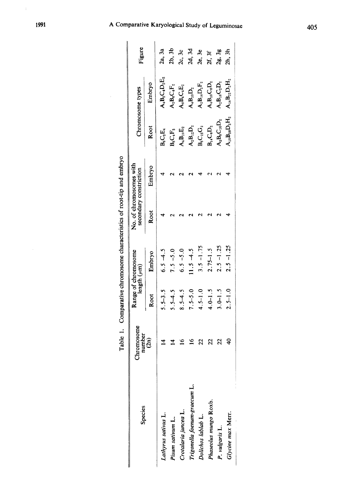| on of contain and ambre<br>֧֧֧֧֧֧֧֧֧֪֧֪֪֧֦֧֪֧֪֪֪֪֪֧֦֧֪֧֪֧֦֧֚֚֚֚֚֚֚֚֚֚֚֚֚֚֚֚֚֚֚֚֚֚֚֚֚֚֟֓֝֓֟֓֡֬֓֓֓֟֓֓֟֓֝֬֓֝֬֝֬֝֬֝֬֝֬ |
|--------------------------------------------------------------------------------------------------------------------|
|                                                                                                                    |
|                                                                                                                    |
| こうこく のうけんこく しょうこう                                                                                                  |
| i<br>I<br>I<br>I<br>I                                                                                              |
| Í,                                                                                                                 |

| Figure                                              |        | 2a, 3a                                                         | 2b, 3b                                             | 2c, 3c                                             | 2d, 3d                                      | 2e, 3e                                                                                                             | 2f, 3f                                                | 2g, 3g                                                   | 2h, 3h                                         |
|-----------------------------------------------------|--------|----------------------------------------------------------------|----------------------------------------------------|----------------------------------------------------|---------------------------------------------|--------------------------------------------------------------------------------------------------------------------|-------------------------------------------------------|----------------------------------------------------------|------------------------------------------------|
| Chromosome types                                    | Embryo | $\mathbf{h}_4\mathbf{B}_2\mathbf{C}_4\mathbf{D}_2\mathbf{E}_2$ | $\mathbf{A}_2\mathbf{B}_6\mathbf{C}_4\mathbf{F}_2$ | $\mathbf{A}_6\mathbf{B}_4\mathbf{C}_4\mathbf{E}_2$ | $\mathbf{A}_i\mathbf{B}_{10}\mathbf{D}_2$   | $\mathsf{A}_2\mathsf{B}_{16}\mathsf{D}_2\mathsf{F}_2$                                                              | $\mathbf{A}_4\mathbf{B}_{10}\mathbf{C}_6\mathbf{D}_2$ | $\mathbf{h}_2 \mathbf{B}_{16} \mathbf{C}_2 \mathbf{D}_2$ | $\mathbf{H}^3$ D <sub>2</sub> H                |
|                                                     | Root   | $\mathsf{B}_6\mathsf{C}_2\mathsf{E}_4$                         | $\mathbf{3}_6\mathbf{C}_4\mathbf{F}_2$             | $\mathbf{k}_i \mathbf{B}_{10} \mathbf{E}_2$        | $\mathbf{A}_2 \mathbf{B}_{12} \mathbf{D}_2$ | $\mathbf{B}_\mathbf{B} \mathbf{C}_{12} \mathbf{G}_2$<br>$\mathbf{B}_\mathbf{A} \mathbf{C}_\mathbf{B} \mathbf{D}_2$ |                                                       | $\mathbf{k}_2\mathbf{B}_9\mathbf{C}_{10}\mathbf{D}_2$    | $_{10}\textbf{B}_{20}\textbf{D}_2\textbf{H}_2$ |
| No. of chromosomes with<br>secondary constriction   | Embryo |                                                                |                                                    |                                                    |                                             |                                                                                                                    |                                                       |                                                          |                                                |
|                                                     | Root   |                                                                |                                                    |                                                    |                                             |                                                                                                                    |                                                       |                                                          |                                                |
| Range of chromosome<br>length (µm)                  | Embryo | $6.5 - 4.5$                                                    | $7.5 - 5.0$                                        | $6.5 - 5.0$                                        | $1.5 - 4.5$                                 | $3.5 - 1.75$                                                                                                       | $2.75 - 1.5$                                          | $2.5 - 1.25$                                             | $2.5 - 1.25$                                   |
|                                                     | Root   | $5.5 - 3.5$                                                    | $5.5 - 4.5$                                        | $8.5 - 4.5$                                        | $7.5 - 5.0$                                 | $4.5 - 1.0$                                                                                                        | $4.0 - 1.5$<br>3.0-1.5                                |                                                          | $2.5 - 1.0$                                    |
| <b>hromosome</b><br>$\frac{m_{\text{inter}}}{(2n)}$ |        |                                                                |                                                    |                                                    |                                             |                                                                                                                    |                                                       |                                                          |                                                |
| Species                                             |        | Lathyrus sativus L.                                            | Pisum sativum L.                                   | Crotalaria juncea L.                               | Trigonella foenum-graecum L.                | Dolichos lablab L.                                                                                                 | Phaseolus mungo Roxb.                                 | P. vulgaris L.                                           | Glycine max Merr.                              |

 $\bar{1}$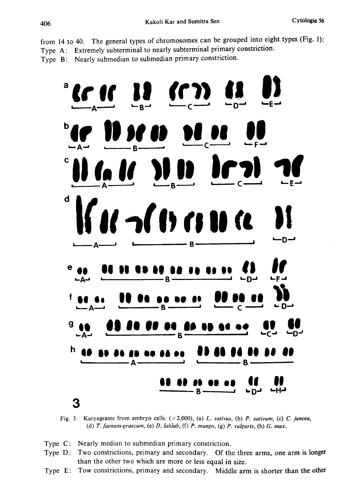from 14 to 40. The general types of chromosomes can be grouped into eight types (Fig. 1): Type A: Extremely subterminal to nearly subterminal primary constriction.

Type B: Nearly submedian to submedian primary constriction.



Fig. 3. Karyagrams from embryo cells.  $(\times 2,000)$ , (a) L. sativus, (b) P. sativum, (c) C. juncea, (d) T. faenum-graecum, (e) D. lablab, (f) P. mungo, (g) P. vulgaris, (h) G. max.

- Type C: Nearly median to submedian primary constriction.
- Type D: Two constrictions, primary and secondary. Of the three arms, one arm is longer than the other two which are more or less equal in size.
- Type E: Tow constrictions, primary and secondary. Middle arm is shorter than the other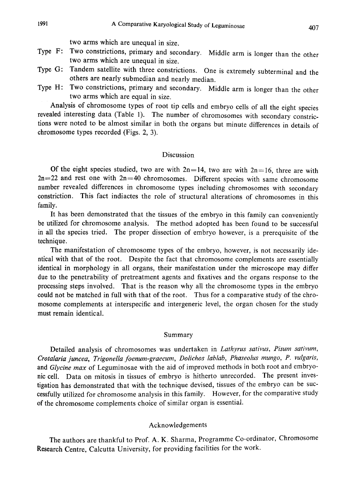two arms which are unequal in size.

- Type F: Two constrictions, primary and secondary. Middle arm is longer than the other two arms which are unequal in size.
- Type G: Tandem satellite with three constrictions. One is extremely subterminal and the others are nearly submedian and nearly median .
- Type H: Two constrictions, primary and secondary. Middle arm is longer than the other two arms which are equal in size.

Analysis of chromosome types of root tip cells and embryo cells of all the eight species revealed interesting data (Table 1). The number of chromosomes with secondary constric tions were noted to be almost similar in both the organs but minute differences in details of chromosome types recorded (Figs. 2, 3).

#### Discussion

Of the eight species studied, two are with  $2n=14$ , two are with  $2n=16$ , three are with  $2n=22$  and rest one with  $2n=40$  chromosomes. Different species with same chromosome number revealed differences in chromosome types including chromosomes with secondary constriction. This fact indiactes the role of structural alterations of chromosomes in this family.

It has been demonstrated that the tissues of the embryo in this family can conveniently be utilized for chromosome analysis. The method adopted has been found to be successful in all the species tried. The proper dissection of embryo however, is a prerequisite of the technique.

The manifestation of chromosome types of the embryo, however, is not necessarily ide ntical with that of the root. Despite the fact that chromosome complements are essentially identical in morphology in all organs, their manifestation under the microscope may differ due to the penetrability of pretreatment agents and fixatives and the organs response to the processing steps involved. That is the reason why all the chromosome types in the embryo could not be matched in full with that of the root. Thus for a comparative study of the chro mosome complements at interspecific and intergeneric level, the organ chosen for the study must remain identical.

#### Summary

Detailed analysis of chromosomes was undertaken in Lathyrus sativus, Pisum sativum, Crotalaria juncea, Trigonella foenum-graecum, Dolichos lablab, Phaseolus mungo, P. vulgaris, and Glycine max of Leguminosae with the aid of improved methods in both root and embryonic cell. Data on mitosis in tissues of embryo is hitherto unrecorded. The present inves tigation has demonstrated that with the technique devised, tissues of the embryo can be suc cessfully utilized for chromosome analysis in this family. However, for the comparative study of the chromosome complements choice of similar organ is essential.

### Acknowledgements

The authors are thankful to Prof. A. K. Sharma, Programme Co-ordinator, Chromosome Research Centre, Calcutta University, for providing facilities for the work.